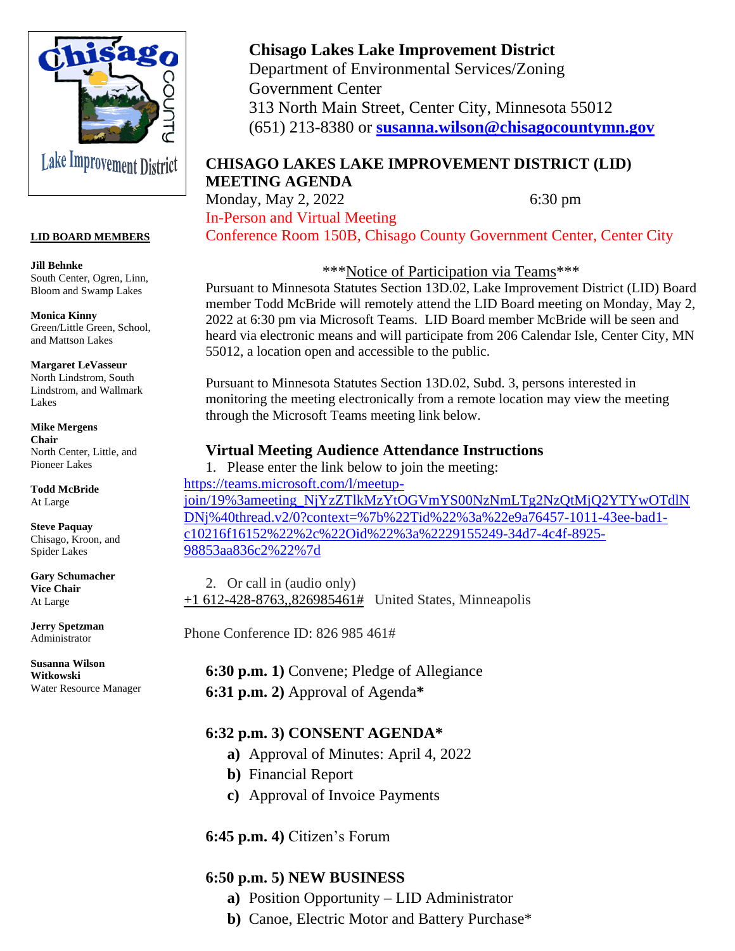

#### **LID BOARD MEMBERS**

**Jill Behnke** South Center, Ogren, Linn, Bloom and Swamp Lakes

**Monica Kinny** Green/Little Green, School, and Mattson Lakes

**Margaret LeVasseur** North Lindstrom, South Lindstrom, and Wallmark Lakes

**Mike Mergens Chair** North Center, Little, and Pioneer Lakes

**Todd McBride** At Large

**Steve Paquay** Chisago, Kroon, and Spider Lakes

**Gary Schumacher Vice Chair** At Large

**Jerry Spetzman** Administrator

**Susanna Wilson Witkowski** Water Resource Manager

# **Chisago Lakes Lake Improvement District**

Department of Environmental Services/Zoning Government Center 313 North Main Street, Center City, Minnesota 55012 (651) 213-8380 or **[susanna.wilson@chisagocountymn.gov](mailto:susanna.wilson@chisagocountymn.gov)**

# **CHISAGO LAKES LAKE IMPROVEMENT DISTRICT (LID) MEETING AGENDA**

Monday, May 2, 2022 6:30 pm In-Person and Virtual Meeting Conference Room 150B, Chisago County Government Center, Center City

\*\*\*Notice of Participation via Teams\*\*\*

Pursuant to Minnesota Statutes Section 13D.02, Lake Improvement District (LID) Board member Todd McBride will remotely attend the LID Board meeting on Monday, May 2, 2022 at 6:30 pm via Microsoft Teams. LID Board member McBride will be seen and heard via electronic means and will participate from 206 Calendar Isle, Center City, MN 55012, a location open and accessible to the public.

Pursuant to Minnesota Statutes Section 13D.02, Subd. 3, persons interested in monitoring the meeting electronically from a remote location may view the meeting through the Microsoft Teams meeting link below.

### **Virtual Meeting Audience Attendance Instructions**

1. Please enter the link below to join the meeting: [https://teams.microsoft.com/l/meetup](https://teams.microsoft.com/l/meetup-join/19%3ameeting_NjYzZTlkMzYtOGVmYS00NzNmLTg2NzQtMjQ2YTYwOTdlNDNj%40thread.v2/0?context=%7b%22Tid%22%3a%22e9a76457-1011-43ee-bad1-c10216f16152%22%2c%22Oid%22%3a%2229155249-34d7-4c4f-8925-98853aa836c2%22%7d)[join/19%3ameeting\\_NjYzZTlkMzYtOGVmYS00NzNmLTg2NzQtMjQ2YTYwOTdlN](https://teams.microsoft.com/l/meetup-join/19%3ameeting_NjYzZTlkMzYtOGVmYS00NzNmLTg2NzQtMjQ2YTYwOTdlNDNj%40thread.v2/0?context=%7b%22Tid%22%3a%22e9a76457-1011-43ee-bad1-c10216f16152%22%2c%22Oid%22%3a%2229155249-34d7-4c4f-8925-98853aa836c2%22%7d) [DNj%40thread.v2/0?context=%7b%22Tid%22%3a%22e9a76457-1011-43ee-bad1](https://teams.microsoft.com/l/meetup-join/19%3ameeting_NjYzZTlkMzYtOGVmYS00NzNmLTg2NzQtMjQ2YTYwOTdlNDNj%40thread.v2/0?context=%7b%22Tid%22%3a%22e9a76457-1011-43ee-bad1-c10216f16152%22%2c%22Oid%22%3a%2229155249-34d7-4c4f-8925-98853aa836c2%22%7d) [c10216f16152%22%2c%22Oid%22%3a%2229155249-34d7-4c4f-8925-](https://teams.microsoft.com/l/meetup-join/19%3ameeting_NjYzZTlkMzYtOGVmYS00NzNmLTg2NzQtMjQ2YTYwOTdlNDNj%40thread.v2/0?context=%7b%22Tid%22%3a%22e9a76457-1011-43ee-bad1-c10216f16152%22%2c%22Oid%22%3a%2229155249-34d7-4c4f-8925-98853aa836c2%22%7d) [98853aa836c2%22%7d](https://teams.microsoft.com/l/meetup-join/19%3ameeting_NjYzZTlkMzYtOGVmYS00NzNmLTg2NzQtMjQ2YTYwOTdlNDNj%40thread.v2/0?context=%7b%22Tid%22%3a%22e9a76457-1011-43ee-bad1-c10216f16152%22%2c%22Oid%22%3a%2229155249-34d7-4c4f-8925-98853aa836c2%22%7d)

2. Or call in (audio only)  $+1$  612-428-8763,,826985461# United States, Minneapolis

Phone Conference ID: 826 985 461#

**6:30 p.m. 1)** Convene; Pledge of Allegiance **6:31 p.m. 2)** Approval of Agenda**\*** 

### **6:32 p.m. 3) CONSENT AGENDA\***

- **a)** Approval of Minutes: April 4, 2022
- **b)** Financial Report
- **c)** Approval of Invoice Payments

### **6:45 p.m. 4)** Citizen's Forum

### **6:50 p.m. 5) NEW BUSINESS**

- **a)** Position Opportunity LID Administrator
- **b)** Canoe, Electric Motor and Battery Purchase\*